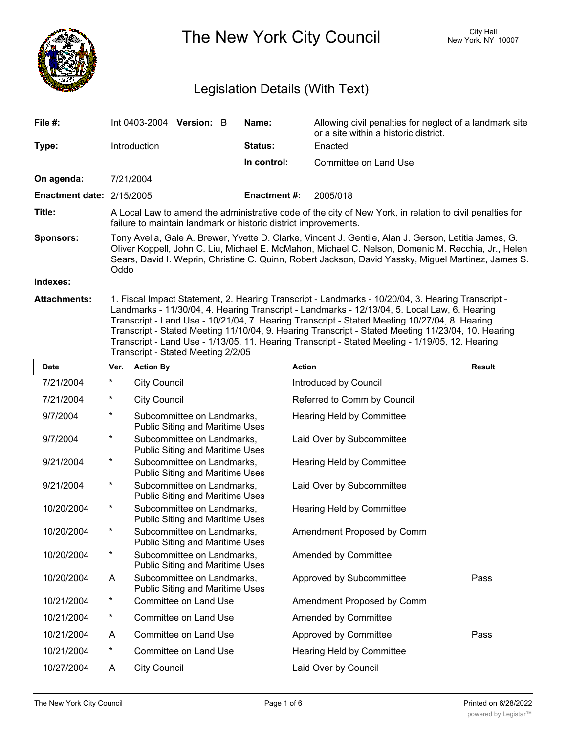

The New York City Council New York, NY 10007

# Legislation Details (With Text)

| File $#$ :                  | $Int 0403-2004$ Version: B                                                                                                                                                                                                                                                                                                                                                                                                                                                                                                                        |  |  | Name:               | Allowing civil penalties for neglect of a landmark site<br>or a site within a historic district. |  |  |
|-----------------------------|---------------------------------------------------------------------------------------------------------------------------------------------------------------------------------------------------------------------------------------------------------------------------------------------------------------------------------------------------------------------------------------------------------------------------------------------------------------------------------------------------------------------------------------------------|--|--|---------------------|--------------------------------------------------------------------------------------------------|--|--|
| Type:                       | <b>Introduction</b>                                                                                                                                                                                                                                                                                                                                                                                                                                                                                                                               |  |  | <b>Status:</b>      | Enacted                                                                                          |  |  |
|                             |                                                                                                                                                                                                                                                                                                                                                                                                                                                                                                                                                   |  |  | In control:         | Committee on Land Use                                                                            |  |  |
| On agenda:                  | 7/21/2004                                                                                                                                                                                                                                                                                                                                                                                                                                                                                                                                         |  |  |                     |                                                                                                  |  |  |
| Enactment date: $2/15/2005$ |                                                                                                                                                                                                                                                                                                                                                                                                                                                                                                                                                   |  |  | <b>Enactment #:</b> | 2005/018                                                                                         |  |  |
| Title:                      | A Local Law to amend the administrative code of the city of New York, in relation to civil penalties for<br>failure to maintain landmark or historic district improvements.                                                                                                                                                                                                                                                                                                                                                                       |  |  |                     |                                                                                                  |  |  |
| <b>Sponsors:</b>            | Tony Avella, Gale A. Brewer, Yvette D. Clarke, Vincent J. Gentile, Alan J. Gerson, Letitia James, G.<br>Oliver Koppell, John C. Liu, Michael E. McMahon, Michael C. Nelson, Domenic M. Recchia, Jr., Helen<br>Sears, David I. Weprin, Christine C. Quinn, Robert Jackson, David Yassky, Miguel Martinez, James S.<br>Oddo                                                                                                                                                                                                                         |  |  |                     |                                                                                                  |  |  |
| Indexes:                    |                                                                                                                                                                                                                                                                                                                                                                                                                                                                                                                                                   |  |  |                     |                                                                                                  |  |  |
| <b>Attachments:</b>         | 1. Fiscal Impact Statement, 2. Hearing Transcript - Landmarks - 10/20/04, 3. Hearing Transcript -<br>Landmarks - 11/30/04, 4. Hearing Transcript - Landmarks - 12/13/04, 5. Local Law, 6. Hearing<br>Transcript - Land Use - 10/21/04, 7. Hearing Transcript - Stated Meeting 10/27/04, 8. Hearing<br>Transcript - Stated Meeting 11/10/04, 9. Hearing Transcript - Stated Meeting 11/23/04, 10. Hearing<br>Transcript - Land Use - 1/13/05, 11. Hearing Transcript - Stated Meeting - 1/19/05, 12. Hearing<br>Transcript - Stated Meeting 2/2/05 |  |  |                     |                                                                                                  |  |  |
| <b>Date</b>                 | Ver. Action By                                                                                                                                                                                                                                                                                                                                                                                                                                                                                                                                    |  |  | <b>Action</b>       | <b>Result</b>                                                                                    |  |  |

| <b>Date</b> | Ver.       | <b>Action By</b>                                                     | <b>Action</b>               | <b>Result</b> |
|-------------|------------|----------------------------------------------------------------------|-----------------------------|---------------|
| 7/21/2004   | $\star$    | <b>City Council</b>                                                  | Introduced by Council       |               |
| 7/21/2004   | $^\star$   | <b>City Council</b>                                                  | Referred to Comm by Council |               |
| 9/7/2004    | $^\star$   | Subcommittee on Landmarks,<br><b>Public Siting and Maritime Uses</b> | Hearing Held by Committee   |               |
| 9/7/2004    | $^\star$   | Subcommittee on Landmarks,<br><b>Public Siting and Maritime Uses</b> | Laid Over by Subcommittee   |               |
| 9/21/2004   | $^\star$   | Subcommittee on Landmarks,<br>Public Siting and Maritime Uses        | Hearing Held by Committee   |               |
| 9/21/2004   | $^{\star}$ | Subcommittee on Landmarks,<br>Public Siting and Maritime Uses        | Laid Over by Subcommittee   |               |
| 10/20/2004  | $^\star$   | Subcommittee on Landmarks,<br><b>Public Siting and Maritime Uses</b> | Hearing Held by Committee   |               |
| 10/20/2004  | $^\star$   | Subcommittee on Landmarks,<br><b>Public Siting and Maritime Uses</b> | Amendment Proposed by Comm  |               |
| 10/20/2004  | $^\star$   | Subcommittee on Landmarks,<br><b>Public Siting and Maritime Uses</b> | Amended by Committee        |               |
| 10/20/2004  | A          | Subcommittee on Landmarks,<br><b>Public Siting and Maritime Uses</b> | Approved by Subcommittee    | Pass          |
| 10/21/2004  | $^\star$   | <b>Committee on Land Use</b>                                         | Amendment Proposed by Comm  |               |
| 10/21/2004  | $^\star$   | Committee on Land Use                                                | Amended by Committee        |               |
| 10/21/2004  | A          | Committee on Land Use                                                | Approved by Committee       | Pass          |
| 10/21/2004  | $^\star$   | Committee on Land Use                                                | Hearing Held by Committee   |               |
| 10/27/2004  | A          | <b>City Council</b>                                                  | Laid Over by Council        |               |
|             |            |                                                                      |                             |               |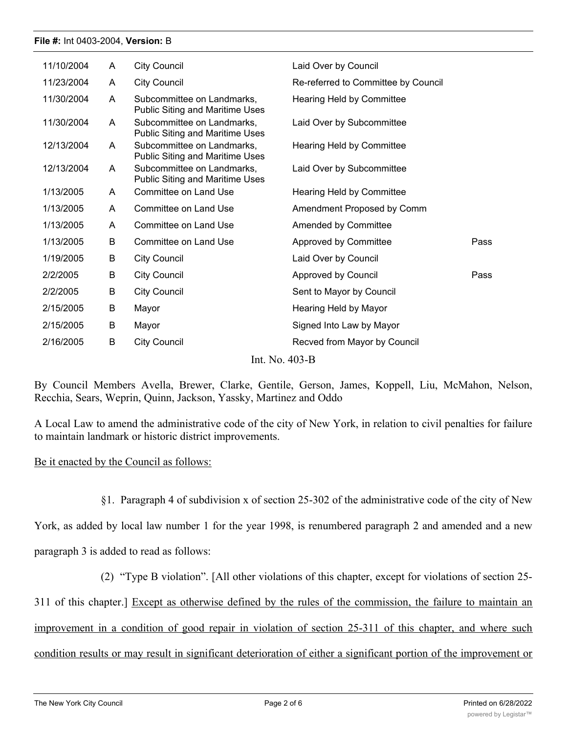#### **File #:** Int 0403-2004, **Version:** B

| 11/10/2004 | A                          | City Council                                                         | Laid Over by Council                |      |  |  |  |  |
|------------|----------------------------|----------------------------------------------------------------------|-------------------------------------|------|--|--|--|--|
| 11/23/2004 | A                          | <b>City Council</b>                                                  | Re-referred to Committee by Council |      |  |  |  |  |
| 11/30/2004 | A                          | Subcommittee on Landmarks,<br><b>Public Siting and Maritime Uses</b> | Hearing Held by Committee           |      |  |  |  |  |
| 11/30/2004 | A                          | Subcommittee on Landmarks,<br><b>Public Siting and Maritime Uses</b> | Laid Over by Subcommittee           |      |  |  |  |  |
| 12/13/2004 | A                          | Subcommittee on Landmarks,<br><b>Public Siting and Maritime Uses</b> | Hearing Held by Committee           |      |  |  |  |  |
| 12/13/2004 | A                          | Subcommittee on Landmarks,<br><b>Public Siting and Maritime Uses</b> | Laid Over by Subcommittee           |      |  |  |  |  |
| 1/13/2005  | A                          | Committee on Land Use                                                | Hearing Held by Committee           |      |  |  |  |  |
| 1/13/2005  | A                          | Committee on Land Use                                                | Amendment Proposed by Comm          |      |  |  |  |  |
| 1/13/2005  | A                          | Committee on Land Use                                                | Amended by Committee                |      |  |  |  |  |
| 1/13/2005  | B                          | Committee on Land Use                                                | Approved by Committee               | Pass |  |  |  |  |
| 1/19/2005  | B                          | City Council                                                         | Laid Over by Council                |      |  |  |  |  |
| 2/2/2005   | B                          | <b>City Council</b>                                                  | Approved by Council                 | Pass |  |  |  |  |
| 2/2/2005   | B                          | <b>City Council</b>                                                  | Sent to Mayor by Council            |      |  |  |  |  |
| 2/15/2005  | B                          | Mayor                                                                | Hearing Held by Mayor               |      |  |  |  |  |
| 2/15/2005  | B                          | Mayor                                                                | Signed Into Law by Mayor            |      |  |  |  |  |
| 2/16/2005  | B                          | <b>City Council</b>                                                  | Recved from Mayor by Council        |      |  |  |  |  |
|            | $\sqrt{2}$<br><b>T. XT</b> |                                                                      |                                     |      |  |  |  |  |

Int. No. 403-B

By Council Members Avella, Brewer, Clarke, Gentile, Gerson, James, Koppell, Liu, McMahon, Nelson, Recchia, Sears, Weprin, Quinn, Jackson, Yassky, Martinez and Oddo

A Local Law to amend the administrative code of the city of New York, in relation to civil penalties for failure to maintain landmark or historic district improvements.

## Be it enacted by the Council as follows:

§1. Paragraph 4 of subdivision x of section 25-302 of the administrative code of the city of New

York, as added by local law number 1 for the year 1998, is renumbered paragraph 2 and amended and a new paragraph 3 is added to read as follows:

(2) "Type B violation". [All other violations of this chapter, except for violations of section 25-

311 of this chapter.] Except as otherwise defined by the rules of the commission, the failure to maintain an improvement in a condition of good repair in violation of section 25-311 of this chapter, and where such

condition results or may result in significant deterioration of either a significant portion of the improvement or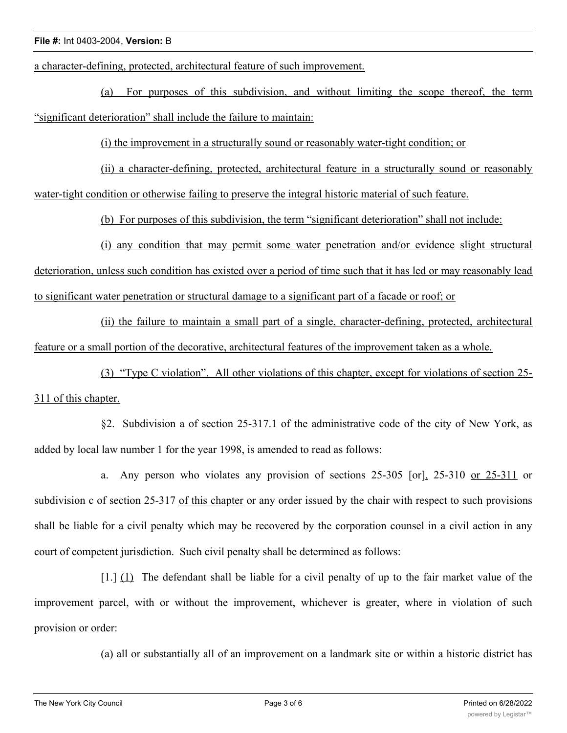a character-defining, protected, architectural feature of such improvement.

(a) For purposes of this subdivision, and without limiting the scope thereof, the term "significant deterioration" shall include the failure to maintain:

(i) the improvement in a structurally sound or reasonably water-tight condition; or

(ii) a character-defining, protected, architectural feature in a structurally sound or reasonably water-tight condition or otherwise failing to preserve the integral historic material of such feature.

(b) For purposes of this subdivision, the term "significant deterioration" shall not include:

(i) any condition that may permit some water penetration and/or evidence slight structural deterioration, unless such condition has existed over a period of time such that it has led or may reasonably lead to significant water penetration or structural damage to a significant part of a facade or roof; or

(ii) the failure to maintain a small part of a single, character-defining, protected, architectural feature or a small portion of the decorative, architectural features of the improvement taken as a whole.

(3) "Type C violation". All other violations of this chapter, except for violations of section 25- 311 of this chapter.

§2. Subdivision a of section 25-317.1 of the administrative code of the city of New York, as added by local law number 1 for the year 1998, is amended to read as follows:

a. Any person who violates any provision of sections 25-305 [or], 25-310 or 25-311 or subdivision c of section 25-317 of this chapter or any order issued by the chair with respect to such provisions shall be liable for a civil penalty which may be recovered by the corporation counsel in a civil action in any court of competent jurisdiction. Such civil penalty shall be determined as follows:

[1.] (1) The defendant shall be liable for a civil penalty of up to the fair market value of the improvement parcel, with or without the improvement, whichever is greater, where in violation of such provision or order:

(a) all or substantially all of an improvement on a landmark site or within a historic district has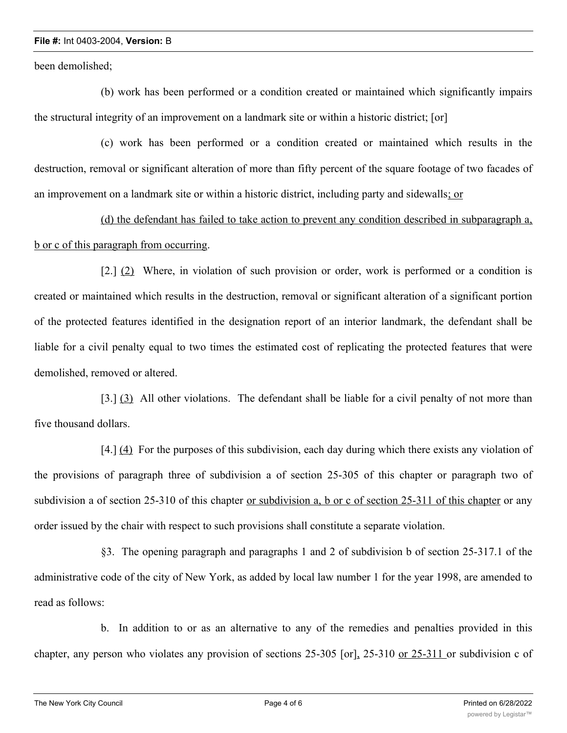## **File #:** Int 0403-2004, **Version:** B

been demolished;

(b) work has been performed or a condition created or maintained which significantly impairs the structural integrity of an improvement on a landmark site or within a historic district; [or]

(c) work has been performed or a condition created or maintained which results in the destruction, removal or significant alteration of more than fifty percent of the square footage of two facades of an improvement on a landmark site or within a historic district, including party and sidewalls; or

(d) the defendant has failed to take action to prevent any condition described in subparagraph a, b or c of this paragraph from occurring.

[2.] (2) Where, in violation of such provision or order, work is performed or a condition is created or maintained which results in the destruction, removal or significant alteration of a significant portion of the protected features identified in the designation report of an interior landmark, the defendant shall be liable for a civil penalty equal to two times the estimated cost of replicating the protected features that were demolished, removed or altered.

[3.] (3) All other violations. The defendant shall be liable for a civil penalty of not more than five thousand dollars.

[4.] (4) For the purposes of this subdivision, each day during which there exists any violation of the provisions of paragraph three of subdivision a of section 25-305 of this chapter or paragraph two of subdivision a of section 25-310 of this chapter <u>or subdivision a, b or c of section 25-311 of this chapter</u> or any order issued by the chair with respect to such provisions shall constitute a separate violation.

§3. The opening paragraph and paragraphs 1 and 2 of subdivision b of section 25-317.1 of the administrative code of the city of New York, as added by local law number 1 for the year 1998, are amended to read as follows:

b. In addition to or as an alternative to any of the remedies and penalties provided in this chapter, any person who violates any provision of sections 25-305 [or], 25-310 or 25-311 or subdivision c of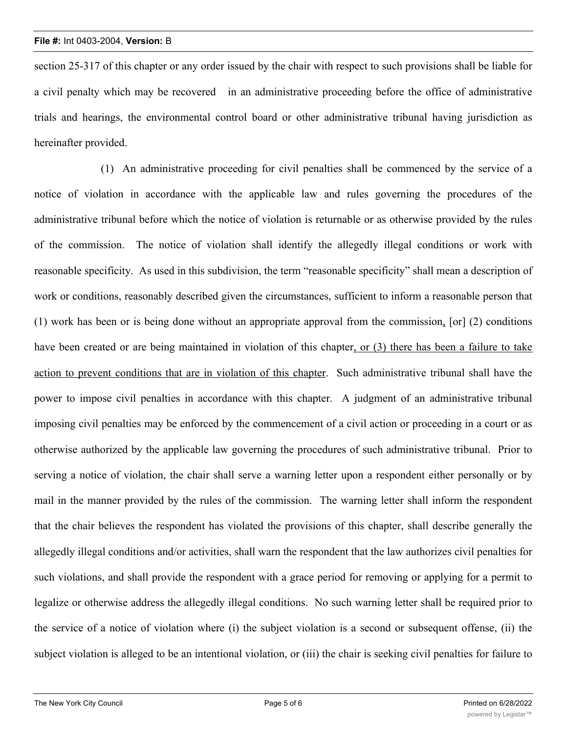section 25-317 of this chapter or any order issued by the chair with respect to such provisions shall be liable for a civil penalty which may be recovered in an administrative proceeding before the office of administrative trials and hearings, the environmental control board or other administrative tribunal having jurisdiction as hereinafter provided.

(1) An administrative proceeding for civil penalties shall be commenced by the service of a notice of violation in accordance with the applicable law and rules governing the procedures of the administrative tribunal before which the notice of violation is returnable or as otherwise provided by the rules of the commission. The notice of violation shall identify the allegedly illegal conditions or work with reasonable specificity. As used in this subdivision, the term "reasonable specificity" shall mean a description of work or conditions, reasonably described given the circumstances, sufficient to inform a reasonable person that (1) work has been or is being done without an appropriate approval from the commission, [or] (2) conditions have been created or are being maintained in violation of this chapter, or (3) there has been a failure to take action to prevent conditions that are in violation of this chapter. Such administrative tribunal shall have the power to impose civil penalties in accordance with this chapter. A judgment of an administrative tribunal imposing civil penalties may be enforced by the commencement of a civil action or proceeding in a court or as otherwise authorized by the applicable law governing the procedures of such administrative tribunal. Prior to serving a notice of violation, the chair shall serve a warning letter upon a respondent either personally or by mail in the manner provided by the rules of the commission. The warning letter shall inform the respondent that the chair believes the respondent has violated the provisions of this chapter, shall describe generally the allegedly illegal conditions and/or activities, shall warn the respondent that the law authorizes civil penalties for such violations, and shall provide the respondent with a grace period for removing or applying for a permit to legalize or otherwise address the allegedly illegal conditions. No such warning letter shall be required prior to the service of a notice of violation where (i) the subject violation is a second or subsequent offense, (ii) the subject violation is alleged to be an intentional violation, or (iii) the chair is seeking civil penalties for failure to